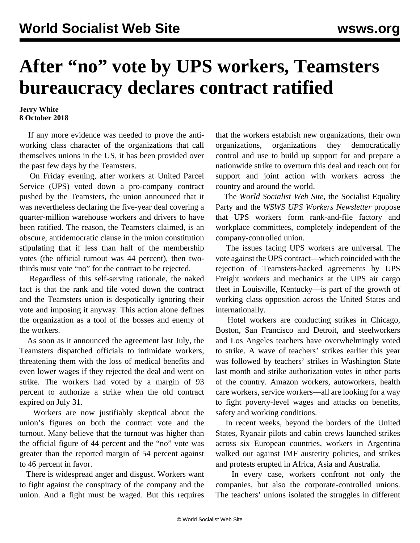## **After "no" vote by UPS workers, Teamsters bureaucracy declares contract ratified**

## **Jerry White 8 October 2018**

 If any more evidence was needed to prove the antiworking class character of the organizations that call themselves unions in the US, it has been provided over the past few days by the Teamsters.

 On Friday evening, after workers at United Parcel Service (UPS) voted down a pro-company contract pushed by the Teamsters, the union announced that it was nevertheless declaring the five-year deal covering a quarter-million warehouse workers and drivers to have been ratified. The reason, the Teamsters claimed, is an obscure, antidemocratic clause in the union constitution stipulating that if less than half of the membership votes (the official turnout was 44 percent), then twothirds must vote "no" for the contract to be rejected.

 Regardless of this self-serving rationale, the naked fact is that the rank and file voted down the contract and the Teamsters union is despotically ignoring their vote and imposing it anyway. This action alone defines the organization as a tool of the bosses and enemy of the workers.

 As soon as it announced the agreement last July, the Teamsters dispatched officials to intimidate workers, threatening them with the loss of medical benefits and even lower wages if they rejected the deal and went on strike. The workers had voted by a margin of 93 percent to authorize a strike when the old contract expired on July 31.

 Workers are now justifiably skeptical about the union's figures on both the contract vote and the turnout. Many believe that the turnout was higher than the official figure of 44 percent and the "no" vote was greater than the reported margin of 54 percent against to 46 percent in favor.

 There is widespread anger and disgust. Workers want to fight against the conspiracy of the company and the union. And a fight must be waged. But this requires that the workers establish new organizations, their own organizations, organizations they democratically control and use to build up support for and prepare a nationwide strike to overturn this deal and reach out for support and joint action with workers across the country and around the world.

 The *World Socialist Web Site*, the Socialist Equality Party and the *WSWS UPS Workers Newsletter* propose that UPS workers form rank-and-file factory and workplace committees, completely independent of the company-controlled union.

 The issues facing UPS workers are universal. The vote against the UPS contract—which coincided with the rejection of Teamsters-backed agreements by UPS Freight workers and mechanics at the UPS air cargo fleet in Louisville, Kentucky—is part of the growth of working class opposition across the United States and internationally.

 Hotel workers are conducting strikes in Chicago, Boston, San Francisco and Detroit, and steelworkers and Los Angeles teachers have overwhelmingly voted to strike. A wave of teachers' strikes earlier this year was followed by teachers' strikes in Washington State last month and strike authorization votes in other parts of the country. Amazon workers, autoworkers, health care workers, service workers—all are looking for a way to fight poverty-level wages and attacks on benefits, safety and working conditions.

 In recent weeks, beyond the borders of the United States, Ryanair pilots and cabin crews launched strikes across six European countries, workers in Argentina walked out against IMF austerity policies, and strikes and protests erupted in Africa, Asia and Australia.

 In every case, workers confront not only the companies, but also the corporate-controlled unions. The teachers' unions isolated the struggles in different